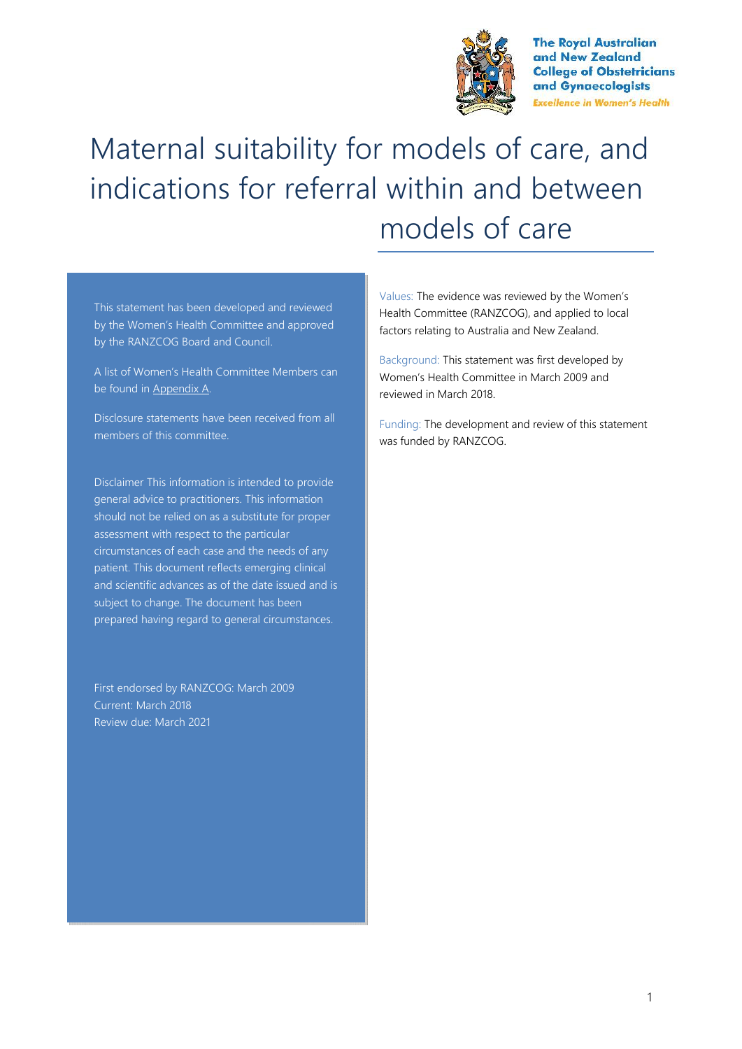

**The Royal Australian** and New Zealand **College of Obstetricians** and Gynaecologists **Excellence in Women's Health** 

# Maternal suitability for models of care, and indications for referral within and between models of care

This statement has been developed and reviewed by the Women's Health Committee and approved by the RANZCOG Board and Council.

A list of Women's Health Committee Members can be found in Appendix A.

Disclosure statements have been received from all members of this committee.

Disclaimer This information is intended to provide general advice to practitioners. This information should not be relied on as a substitute for proper assessment with respect to the particular circumstances of each case and the needs of any patient. This document reflects emerging clinical and scientific advances as of the date issued and is subject to change. The document has been prepared having regard to general circumstances.

First endorsed by RANZCOG: March 2009 Current: March 2018 Review due: March 2021

Values: The evidence was reviewed by the Women's Health Committee (RANZCOG), and applied to local factors relating to Australia and New Zealand.

Background: This statement was first developed by Women's Health Committee in March 2009 and reviewed in March 2018.

Funding: The development and review of this statement was funded by RANZCOG.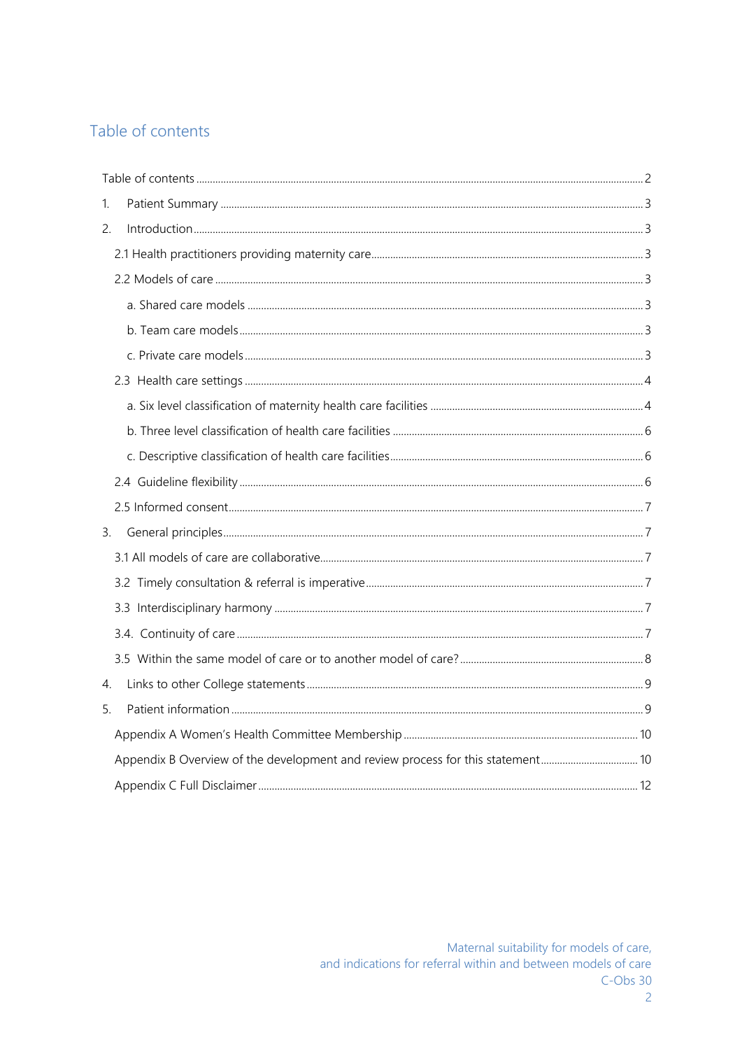# Table of contents

| 1. |  |
|----|--|
| 2. |  |
|    |  |
|    |  |
|    |  |
|    |  |
|    |  |
|    |  |
|    |  |
|    |  |
|    |  |
|    |  |
|    |  |
| 3. |  |
|    |  |
|    |  |
|    |  |
|    |  |
|    |  |
| 4. |  |
| 5. |  |
|    |  |
|    |  |
|    |  |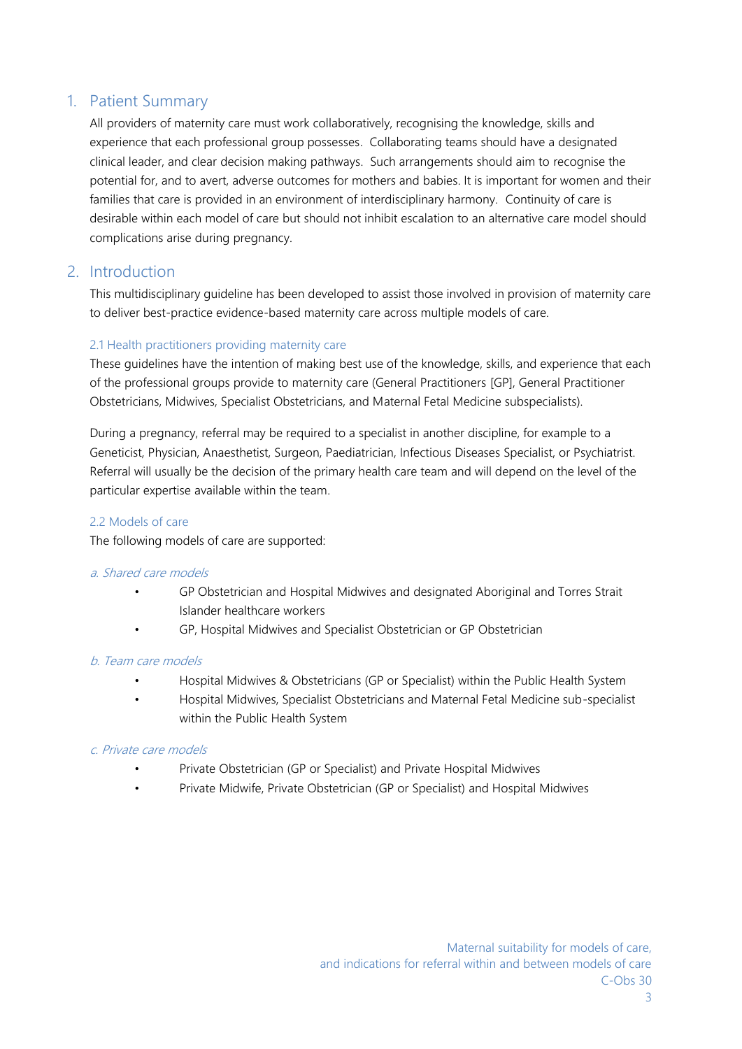# 1. Patient Summary

All providers of maternity care must work collaboratively, recognising the knowledge, skills and experience that each professional group possesses. Collaborating teams should have a designated clinical leader, and clear decision making pathways. Such arrangements should aim to recognise the potential for, and to avert, adverse outcomes for mothers and babies. It is important for women and their families that care is provided in an environment of interdisciplinary harmony. Continuity of care is desirable within each model of care but should not inhibit escalation to an alternative care model should complications arise during pregnancy.

# 2. Introduction

This multidisciplinary guideline has been developed to assist those involved in provision of maternity care to deliver best-practice evidence-based maternity care across multiple models of care.

# 2.1 Health practitioners providing maternity care

These guidelines have the intention of making best use of the knowledge, skills, and experience that each of the professional groups provide to maternity care (General Practitioners [GP], General Practitioner Obstetricians, Midwives, Specialist Obstetricians, and Maternal Fetal Medicine subspecialists).

During a pregnancy, referral may be required to a specialist in another discipline, for example to a Geneticist, Physician, Anaesthetist, Surgeon, Paediatrician, Infectious Diseases Specialist, or Psychiatrist. Referral will usually be the decision of the primary health care team and will depend on the level of the particular expertise available within the team.

# 2.2 Models of care

The following models of care are supported:

#### *a. Shared care models*

- GP Obstetrician and Hospital Midwives and designated Aboriginal and Torres Strait Islander healthcare workers
- GP, Hospital Midwives and Specialist Obstetrician or GP Obstetrician

#### *b. Team care models*

- Hospital Midwives & Obstetricians (GP or Specialist) within the Public Health System
- Hospital Midwives, Specialist Obstetricians and Maternal Fetal Medicine sub-specialist within the Public Health System

# *c. Private care models*

- Private Obstetrician (GP or Specialist) and Private Hospital Midwives
- Private Midwife, Private Obstetrician (GP or Specialist) and Hospital Midwives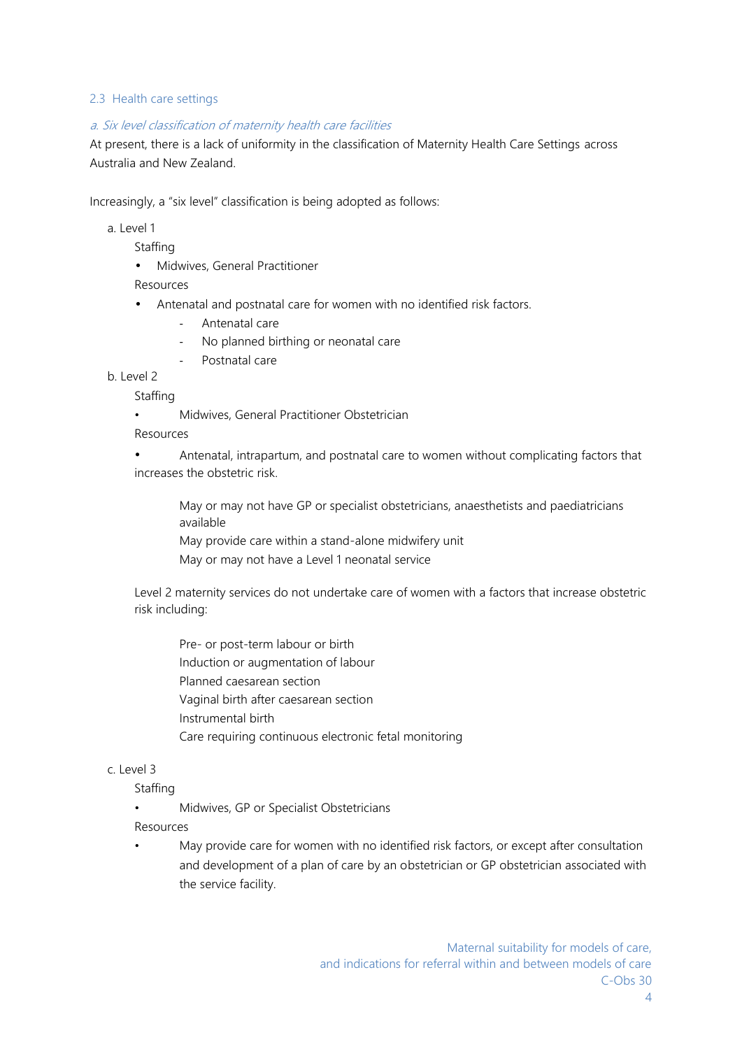### 2.3 Health care settings

#### *a. Six level classification of maternity health care facilities*

At present, there is a lack of uniformity in the classification of Maternity Health Care Settings across Australia and New Zealand.

Increasingly, a "six level" classification is being adopted as follows:

a. Level 1

**Staffing** 

Midwives, General Practitioner

Resources

Antenatal and postnatal care for women with no identified risk factors.

- Antenatal care
- No planned birthing or neonatal care
- Postnatal care

b. Level 2

**Staffing** 

- Midwives, General Practitioner Obstetrician
- Resources

• Antenatal, intrapartum, and postnatal care to women without complicating factors that increases the obstetric risk.

May or may not have GP or specialist obstetricians, anaesthetists and paediatricians available

May provide care within a stand-alone midwifery unit

May or may not have a Level 1 neonatal service

Level 2 maternity services do not undertake care of women with a factors that increase obstetric risk including:

Pre- or post-term labour or birth Induction or augmentation of labour Planned caesarean section Vaginal birth after caesarean section Instrumental birth Care requiring continuous electronic fetal monitoring

# c. Level 3

**Staffing** 

- Midwives, GP or Specialist Obstetricians
- Resources
- May provide care for women with no identified risk factors, or except after consultation and development of a plan of care by an obstetrician or GP obstetrician associated with the service facility.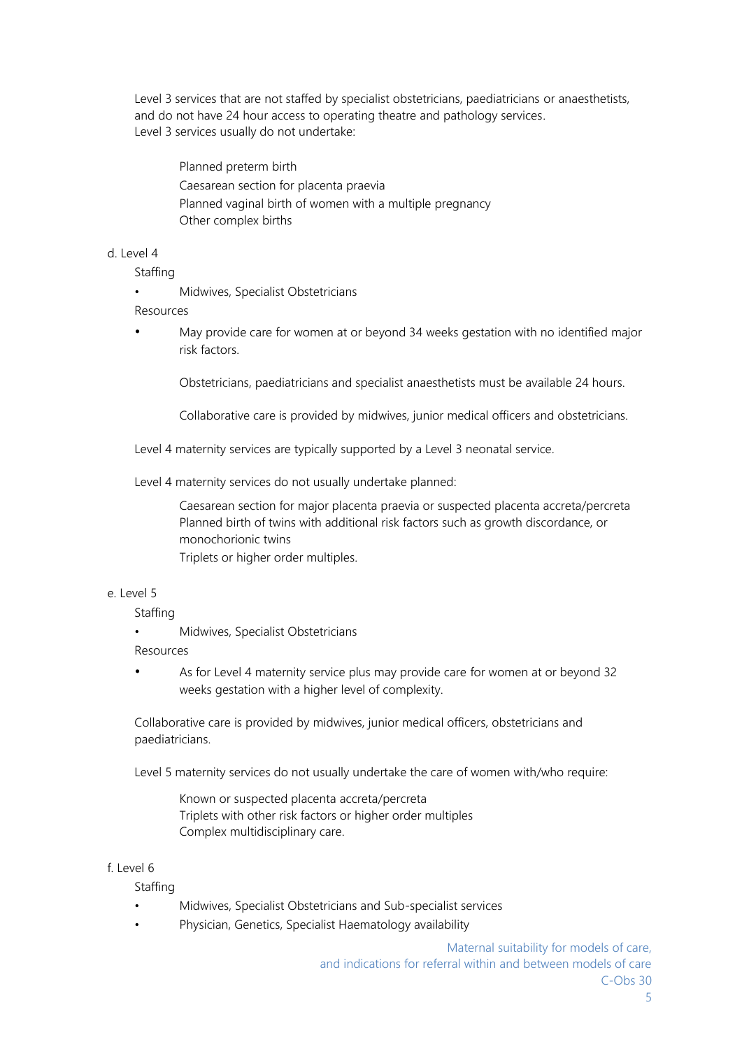Level 3 services that are not staffed by specialist obstetricians, paediatricians or anaesthetists, and do not have 24 hour access to operating theatre and pathology services. Level 3 services usually do not undertake:

Planned preterm birth Caesarean section for placenta praevia Planned vaginal birth of women with a multiple pregnancy Other complex births

d. Level 4

Staffing

• Midwives, Specialist Obstetricians

Resources

• May provide care for women at or beyond 34 weeks gestation with no identified major risk factors.

Obstetricians, paediatricians and specialist anaesthetists must be available 24 hours.

Collaborative care is provided by midwives, junior medical officers and obstetricians.

Level 4 maternity services are typically supported by a Level 3 neonatal service.

Level 4 maternity services do not usually undertake planned:

Caesarean section for major placenta praevia or suspected placenta accreta/percreta Planned birth of twins with additional risk factors such as growth discordance, or monochorionic twins

Triplets or higher order multiples.

### e. Level 5

Staffing

• Midwives, Specialist Obstetricians

Resources

• As for Level 4 maternity service plus may provide care for women at or beyond 32 weeks gestation with a higher level of complexity.

Collaborative care is provided by midwives, junior medical officers, obstetricians and paediatricians.

Level 5 maternity services do not usually undertake the care of women with/who require:

Known or suspected placenta accreta/percreta Triplets with other risk factors or higher order multiples Complex multidisciplinary care.

f. Level 6

**Staffing** 

- Midwives, Specialist Obstetricians and Sub-specialist services
- Physician, Genetics, Specialist Haematology availability

Maternal suitability for models of care, and indications for referral within and between models of care  $C$ -Obs 30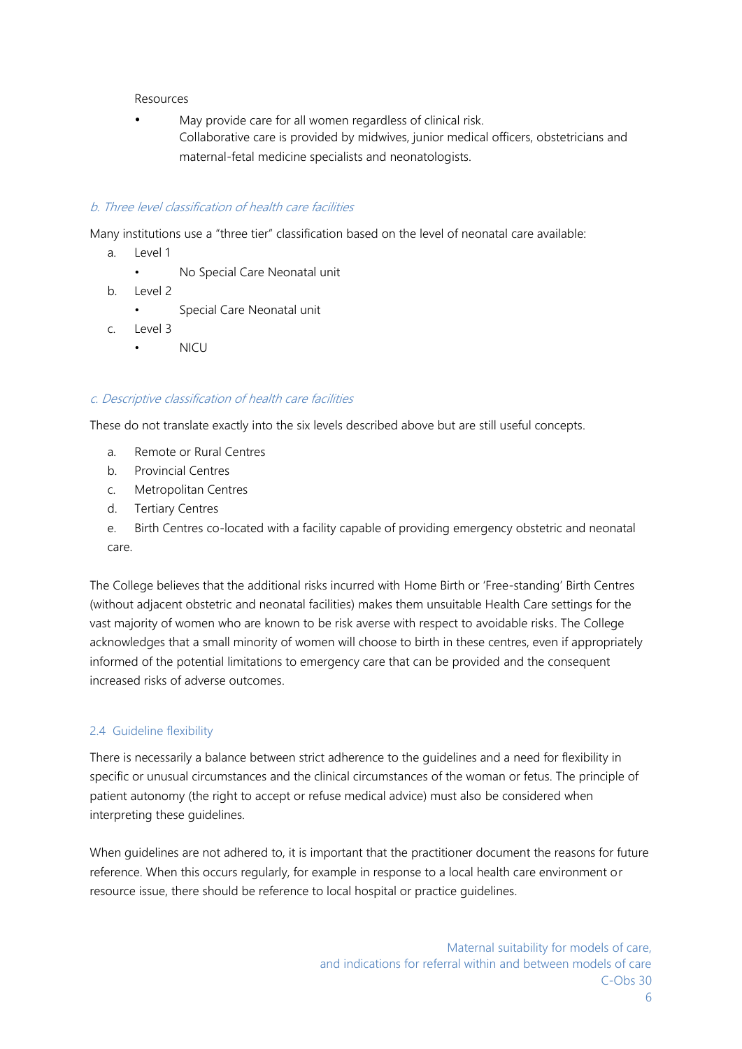#### Resources

May provide care for all women regardless of clinical risk. Collaborative care is provided by midwives, junior medical officers, obstetricians and maternal-fetal medicine specialists and neonatologists.

# *b. Three level classification of health care facilities*

Many institutions use a "three tier" classification based on the level of neonatal care available:

- a. Level 1
	- No Special Care Neonatal unit
- b. Level 2
	- Special Care Neonatal unit
- c. Level 3
	- NICU

# *c. Descriptive classification of health care facilities*

These do not translate exactly into the six levels described above but are still useful concepts.

- a. Remote or Rural Centres
- b. Provincial Centres
- c. Metropolitan Centres
- d. Tertiary Centres
- e. Birth Centres co-located with a facility capable of providing emergency obstetric and neonatal care.

The College believes that the additional risks incurred with Home Birth or 'Free-standing' Birth Centres (without adjacent obstetric and neonatal facilities) makes them unsuitable Health Care settings for the vast majority of women who are known to be risk averse with respect to avoidable risks. The College acknowledges that a small minority of women will choose to birth in these centres, even if appropriately informed of the potential limitations to emergency care that can be provided and the consequent increased risks of adverse outcomes.

# 2.4 Guideline flexibility

There is necessarily a balance between strict adherence to the guidelines and a need for flexibility in specific or unusual circumstances and the clinical circumstances of the woman or fetus. The principle of patient autonomy (the right to accept or refuse medical advice) must also be considered when interpreting these guidelines.

When guidelines are not adhered to, it is important that the practitioner document the reasons for future reference. When this occurs regularly, for example in response to a local health care environment or resource issue, there should be reference to local hospital or practice guidelines.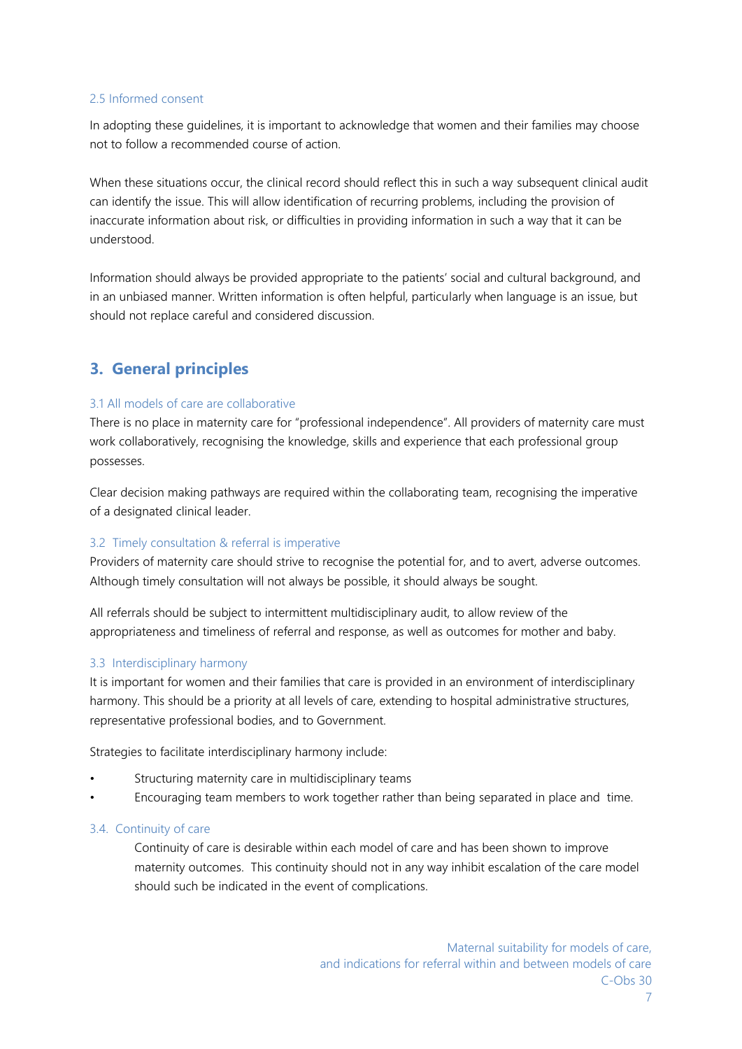#### 2.5 Informed consent

In adopting these guidelines, it is important to acknowledge that women and their families may choose not to follow a recommended course of action.

When these situations occur, the clinical record should reflect this in such a way subsequent clinical audit can identify the issue. This will allow identification of recurring problems, including the provision of inaccurate information about risk, or difficulties in providing information in such a way that it can be understood.

Information should always be provided appropriate to the patients' social and cultural background, and in an unbiased manner. Written information is often helpful, particularly when language is an issue, but should not replace careful and considered discussion.

# **3. General principles**

# 3.1 All models of care are collaborative

There is no place in maternity care for "professional independence". All providers of maternity care must work collaboratively, recognising the knowledge, skills and experience that each professional group possesses.

Clear decision making pathways are required within the collaborating team, recognising the imperative of a designated clinical leader.

# 3.2 Timely consultation & referral is imperative

Providers of maternity care should strive to recognise the potential for, and to avert, adverse outcomes. Although timely consultation will not always be possible, it should always be sought.

All referrals should be subject to intermittent multidisciplinary audit, to allow review of the appropriateness and timeliness of referral and response, as well as outcomes for mother and baby.

#### 3.3 Interdisciplinary harmony

It is important for women and their families that care is provided in an environment of interdisciplinary harmony. This should be a priority at all levels of care, extending to hospital administrative structures, representative professional bodies, and to Government.

Strategies to facilitate interdisciplinary harmony include:

- Structuring maternity care in multidisciplinary teams
- Encouraging team members to work together rather than being separated in place and time.

#### 3.4. Continuity of care

Continuity of care is desirable within each model of care and has been shown to improve maternity outcomes. This continuity should not in any way inhibit escalation of the care model should such be indicated in the event of complications.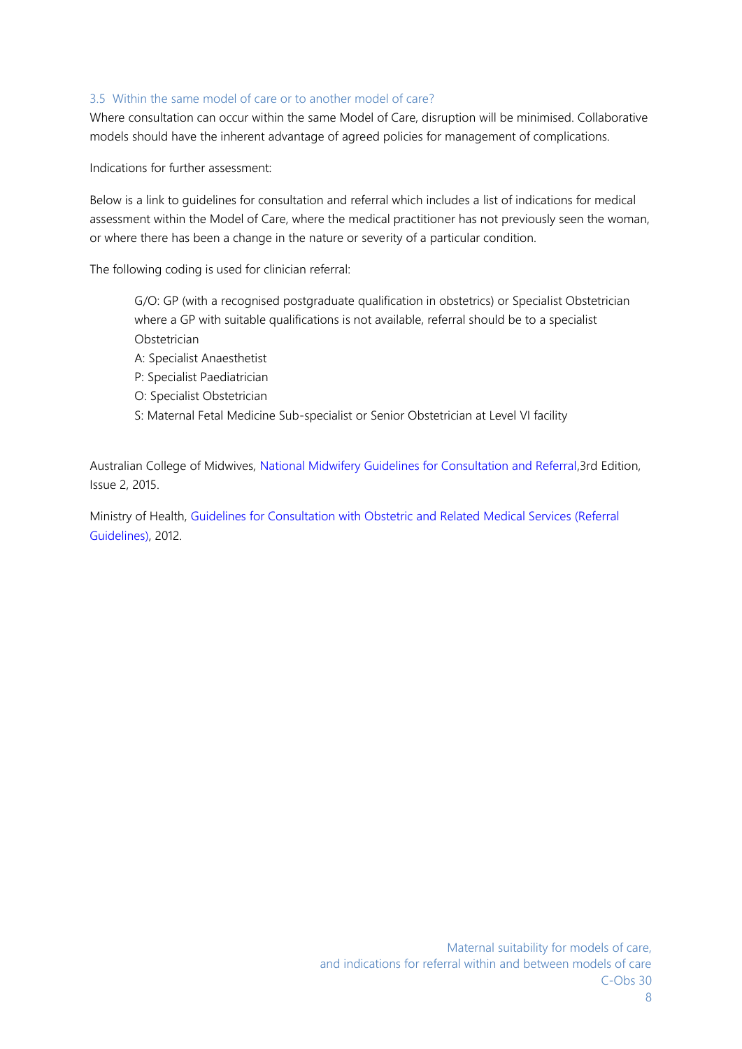#### 3.5 Within the same model of care or to another model of care?

Where consultation can occur within the same Model of Care, disruption will be minimised. Collaborative models should have the inherent advantage of agreed policies for management of complications.

Indications for further assessment:

Below is a link to guidelines for consultation and referral which includes a list of indications for medical assessment within the Model of Care, where the medical practitioner has not previously seen the woman, or where there has been a change in the nature or severity of a particular condition.

The following coding is used for clinician referral:

- G/O: GP (with a recognised postgraduate qualification in obstetrics) or Specialist Obstetrician where a GP with suitable qualifications is not available, referral should be to a specialist Obstetrician A: Specialist Anaesthetist P: Specialist Paediatrician
- O: Specialist Obstetrician
- S: Maternal Fetal Medicine Sub-specialist or Senior Obstetrician at Level VI facility

Australian College of Midwives, National Midwifery Guidelines for Consultation and Referral,3rd Edition, Issue 2, 2015.

Ministry of Health, Guidelines for Consultation with Obstetric and Related Medical Services (Referral Guidelines), 2012.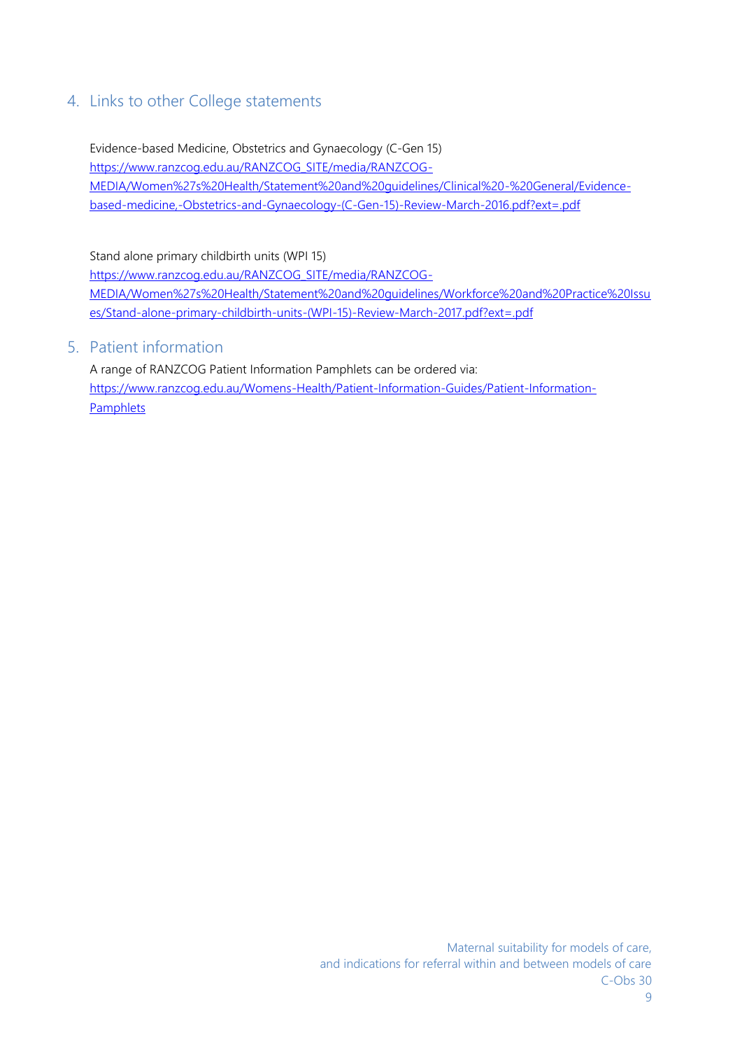# 4. Links to other College statements

Evidence-based Medicine, Obstetrics and Gynaecology (C-Gen 15) https://www.ranzcog.edu.au/RANZCOG\_SITE/media/RANZCOG- MEDIA/Women%27s%20Health/Statement%20and%20guidelines/Clinical%20-%20General/Evidence based-medicine,-Obstetrics-and-Gynaecology-(C-Gen-15)-Review-March-2016.pdf?ext=.pdf

Stand alone primary childbirth units (WPI 15)

https://www.ranzcog.edu.au/RANZCOG\_SITE/media/RANZCOG-MEDIA/Women%27s%20Health/Statement%20and%20guidelines/Workforce%20and%20Practice%20Issu es/Stand-alone-primary-childbirth-units-(WPI-15)-Review-March-2017.pdf?ext=.pdf

# 5. Patient information

A range of RANZCOG Patient Information Pamphlets can be ordered via: https://www.ranzcog.edu.au/Womens-Health/Patient-Information-Guides/Patient-Information- Pamphlets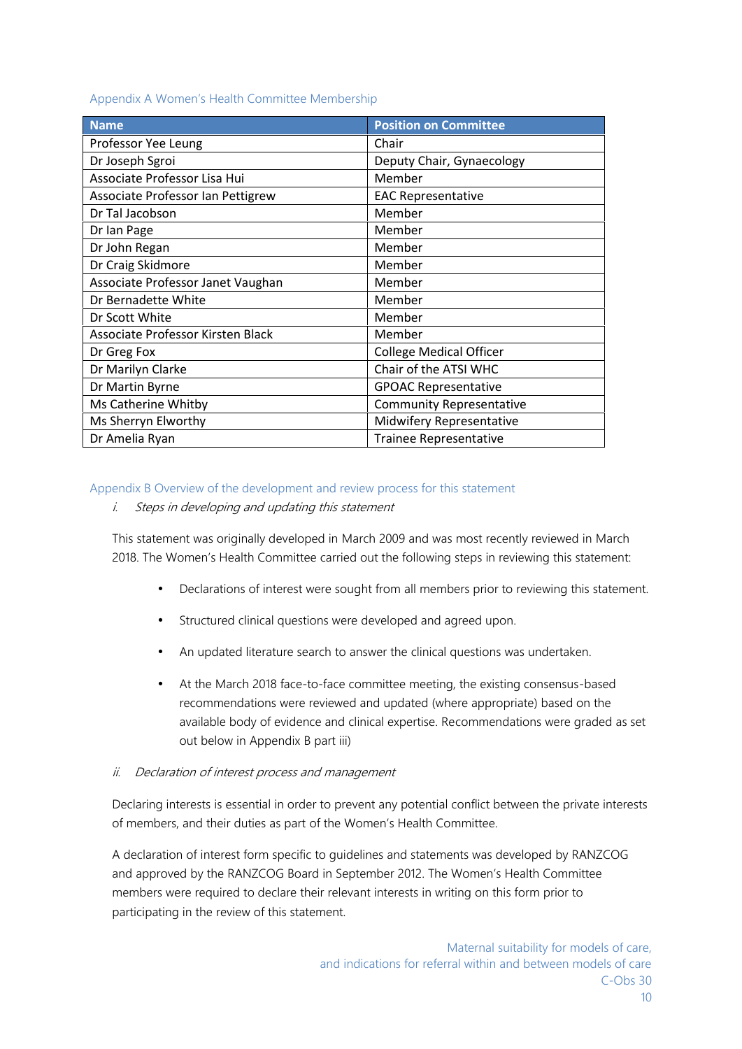#### Appendix A Women's Health Committee Membership

| <b>Name</b>                       | <b>Position on Committee</b>    |
|-----------------------------------|---------------------------------|
| Professor Yee Leung               | Chair                           |
| Dr Joseph Sgroi                   | Deputy Chair, Gynaecology       |
| Associate Professor Lisa Hui      | Member                          |
| Associate Professor Ian Pettigrew | <b>EAC Representative</b>       |
| Dr Tal Jacobson                   | Member                          |
| Dr Ian Page                       | Member                          |
| Dr John Regan                     | Member                          |
| Dr Craig Skidmore                 | Member                          |
| Associate Professor Janet Vaughan | Member                          |
| Dr Bernadette White               | Member                          |
| Dr Scott White                    | Member                          |
| Associate Professor Kirsten Black | Member                          |
| Dr Greg Fox                       | <b>College Medical Officer</b>  |
| Dr Marilyn Clarke                 | Chair of the ATSI WHC           |
| Dr Martin Byrne                   | <b>GPOAC Representative</b>     |
| Ms Catherine Whitby               | <b>Community Representative</b> |
| Ms Sherryn Elworthy               | Midwifery Representative        |
| Dr Amelia Ryan                    | <b>Trainee Representative</b>   |

#### Appendix B Overview of the development and review process for this statement

*i. Steps in developing and updating this statement*

This statement was originally developed in March 2009 and was most recently reviewed in March 2018. The Women's Health Committee carried out the following steps in reviewing this statement:

- Declarations of interest were sought from all members prior to reviewing this statement.
- Structured clinical questions were developed and agreed upon.
- An updated literature search to answer the clinical questions was undertaken.
- At the March 2018 face-to-face committee meeting, the existing consensus-based recommendations were reviewed and updated (where appropriate) based on the available body of evidence and clinical expertise. Recommendations were graded as set out below in Appendix B part iii)

# *ii. Declaration of interest process and management*

Declaring interests is essential in order to prevent any potential conflict between the private interests of members, and their duties as part of the Women's Health Committee.

A declaration of interest form specific to guidelines and statements was developed by RANZCOG and approved by the RANZCOG Board in September 2012. The Women's Health Committee members were required to declare their relevant interests in writing on this form prior to participating in the review of this statement.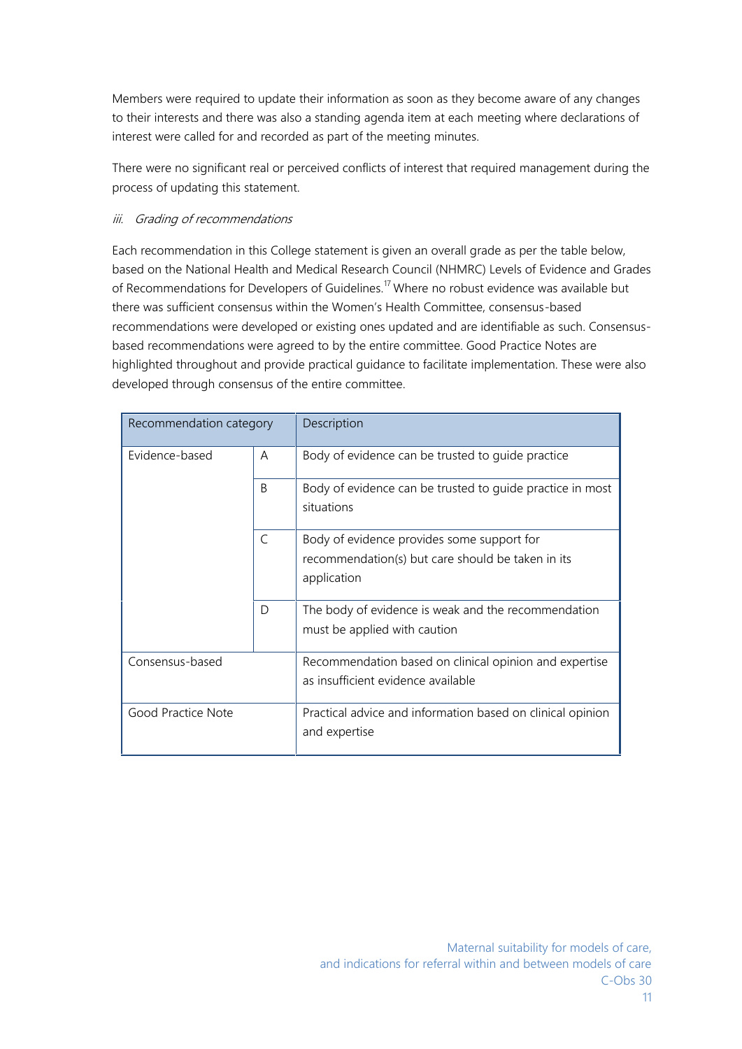Members were required to update their information as soon as they become aware of any changes to their interests and there was also a standing agenda item at each meeting where declarations of interest were called for and recorded as part of the meeting minutes.

There were no significant real or perceived conflicts of interest that required management during the process of updating this statement.

# *iii. Grading of recommendations*

Each recommendation in this College statement is given an overall grade as per the table below, based on the National Health and Medical Research Council (NHMRC) Levels of Evidence and Grades of Recommendations for Developers of Guidelines.<sup>17</sup> Where no robust evidence was available but there was sufficient consensus within the Women's Health Committee, consensus-based recommendations were developed or existing ones updated and are identifiable as such. Consensus based recommendations were agreed to by the entire committee. Good Practice Notes are highlighted throughout and provide practical guidance to facilitate implementation. These were also developed through consensus of the entire committee.

| Recommendation category |              | Description                                                                                                    |
|-------------------------|--------------|----------------------------------------------------------------------------------------------------------------|
| Evidence-based          | A            | Body of evidence can be trusted to guide practice                                                              |
|                         | <sub>B</sub> | Body of evidence can be trusted to guide practice in most<br>situations                                        |
|                         | $\subset$    | Body of evidence provides some support for<br>recommendation(s) but care should be taken in its<br>application |
|                         | D            | The body of evidence is weak and the recommendation<br>must be applied with caution                            |
| Consensus-based         |              | Recommendation based on clinical opinion and expertise<br>as insufficient evidence available                   |
| Good Practice Note      |              | Practical advice and information based on clinical opinion<br>and expertise                                    |